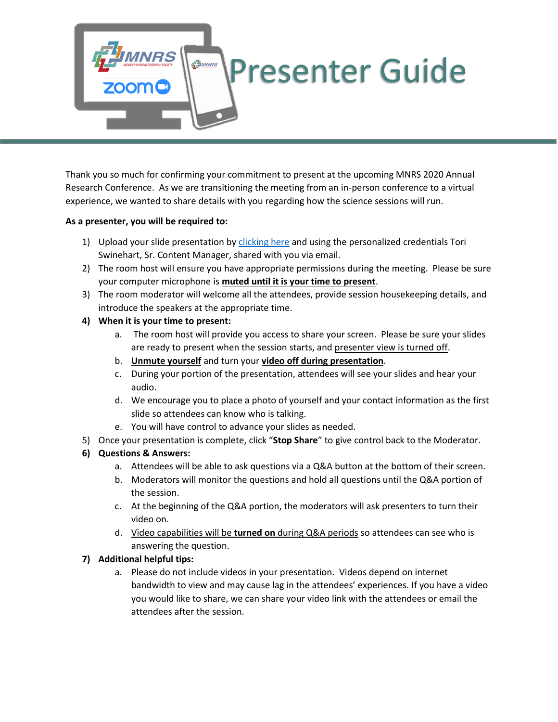# **Presenter Guide**

Thank you so much for confirming your commitment to present at the upcoming MNRS 2020 Annual Research Conference. As we are transitioning the meeting from an in-person conference to a virtual experience, we wanted to share details with you regarding how the science sessions will run.

## **As a presenter, you will be required to:**

<sub>นี</sub>้ไม<sub>่</sub><br>พ

- 1) Upload your slide presentation by [clicking here](https://mnrs.avsc.net/) and using the personalized credentials Tori Swinehart, Sr. Content Manager, shared with you via email.
- 2) The room host will ensure you have appropriate permissions during the meeting. Please be sure your computer microphone is **muted until it is your time to present**.
- 3) The room moderator will welcome all the attendees, provide session housekeeping details, and introduce the speakers at the appropriate time.
- **4) When it is your time to present:**
	- a. The room host will provide you access to share your screen. Please be sure your slides are ready to present when the session starts, and presenter view is turned off.
	- b. **Unmute yourself** and turn your **video off during presentation**.
	- c. During your portion of the presentation, attendees will see your slides and hear your audio.
	- d. We encourage you to place a photo of yourself and your contact information as the first slide so attendees can know who is talking.
	- e. You will have control to advance your slides as needed.
- 5) Once your presentation is complete, click "**Stop Share**" to give control back to the Moderator.
- **6) Questions & Answers:**
	- a. Attendees will be able to ask questions via a Q&A button at the bottom of their screen.
	- b. Moderators will monitor the questions and hold all questions until the Q&A portion of the session.
	- c. At the beginning of the Q&A portion, the moderators will ask presenters to turn their video on.
	- d. Video capabilities will be **turned on** during Q&A periods so attendees can see who is answering the question.

# **7) Additional helpful tips:**

a. Please do not include videos in your presentation. Videos depend on internet bandwidth to view and may cause lag in the attendees' experiences. If you have a video you would like to share, we can share your video link with the attendees or email the attendees after the session.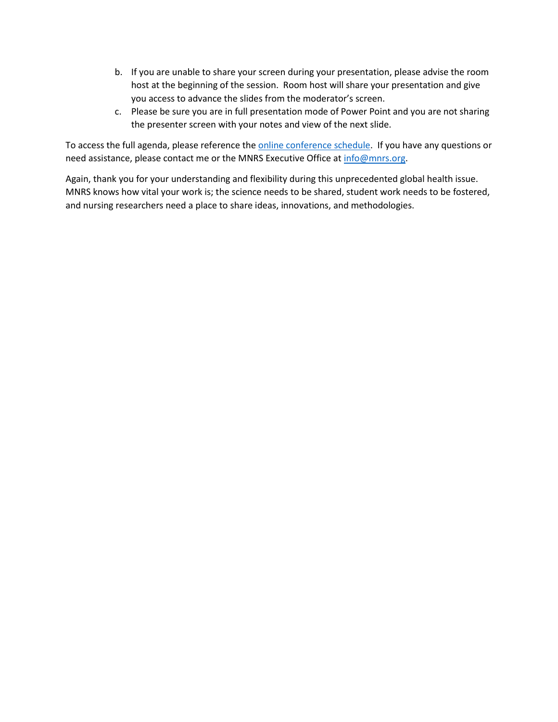- b. If you are unable to share your screen during your presentation, please advise the room host at the beginning of the session. Room host will share your presentation and give you access to advance the slides from the moderator's screen.
- c. Please be sure you are in full presentation mode of Power Point and you are not sharing the presenter screen with your notes and view of the next slide.

To access the full agenda, please reference the **online conference schedule**. If you have any questions or need assistance, please contact me or the MNRS Executive Office at [info@mnrs.org.](mailto:info@mnrs.org)

Again, thank you for your understanding and flexibility during this unprecedented global health issue. MNRS knows how vital your work is; the science needs to be shared, student work needs to be fostered, and nursing researchers need a place to share ideas, innovations, and methodologies.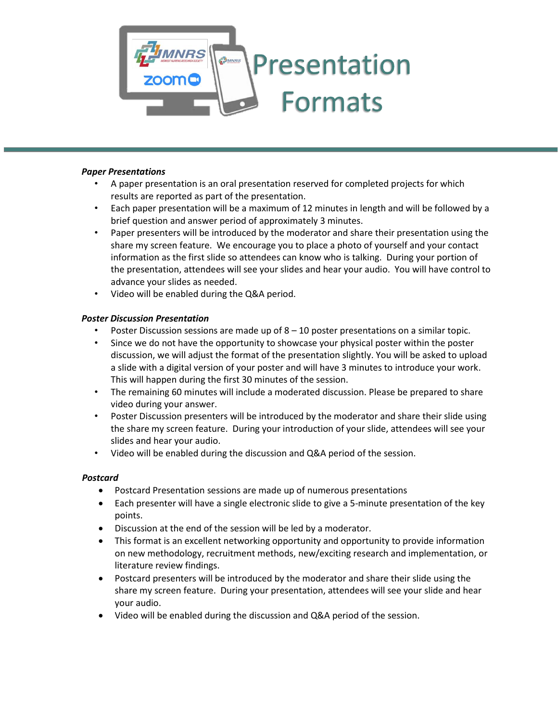

#### *Paper Presentations*

- A paper presentation is an oral presentation reserved for completed projects for which results are reported as part of the presentation.
- Each paper presentation will be a maximum of 12 minutes in length and will be followed by a brief question and answer period of approximately 3 minutes.
- Paper presenters will be introduced by the moderator and share their presentation using the share my screen feature. We encourage you to place a photo of yourself and your contact information as the first slide so attendees can know who is talking. During your portion of the presentation, attendees will see your slides and hear your audio. You will have control to advance your slides as needed.
- Video will be enabled during the Q&A period.

# *Poster Discussion Presentation*

- Poster Discussion sessions are made up of  $8 10$  poster presentations on a similar topic.
- Since we do not have the opportunity to showcase your physical poster within the poster discussion, we will adjust the format of the presentation slightly. You will be asked to upload a slide with a digital version of your poster and will have 3 minutes to introduce your work. This will happen during the first 30 minutes of the session.
- The remaining 60 minutes will include a moderated discussion. Please be prepared to share video during your answer.
- Poster Discussion presenters will be introduced by the moderator and share their slide using the share my screen feature. During your introduction of your slide, attendees will see your slides and hear your audio.
- Video will be enabled during the discussion and Q&A period of the session.

# *Postcard*

- Postcard Presentation sessions are made up of numerous presentations
- Each presenter will have a single electronic slide to give a 5-minute presentation of the key points.
- Discussion at the end of the session will be led by a moderator.
- This format is an excellent networking opportunity and opportunity to provide information on new methodology, recruitment methods, new/exciting research and implementation, or literature review findings.
- Postcard presenters will be introduced by the moderator and share their slide using the share my screen feature. During your presentation, attendees will see your slide and hear your audio.
- Video will be enabled during the discussion and Q&A period of the session.